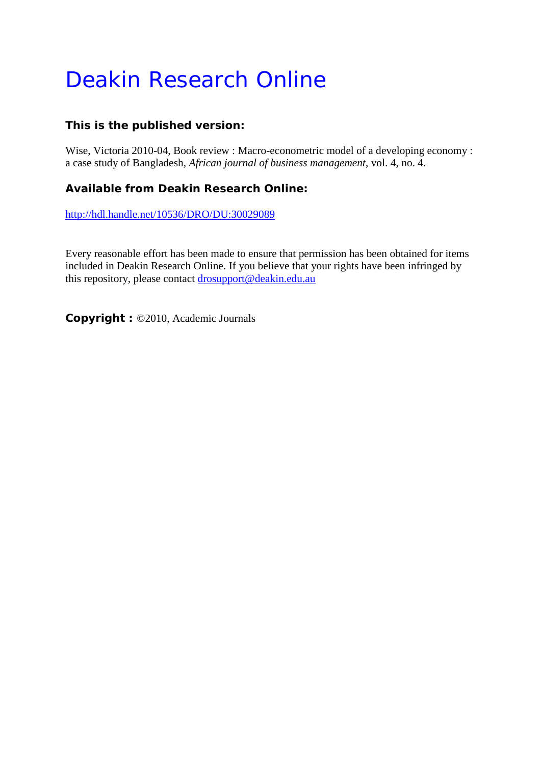# Deakin Research Online

### **This is the published version:**

Wise, Victoria 2010-04, Book review : Macro-econometric model of a developing economy : a case study of Bangladesh*, African journal of business management*, vol. 4, no. 4.

### **Available from Deakin Research Online:**

<http://hdl.handle.net/10536/DRO/DU:30029089>

Every reasonable effort has been made to ensure that permission has been obtained for items included in Deakin Research Online. If you believe that your rights have been infringed by this repository, please contact [drosupport@deakin.edu.au](mailto:drosupport@deakin.edu.au)

**Copyright :** ©2010, Academic Journals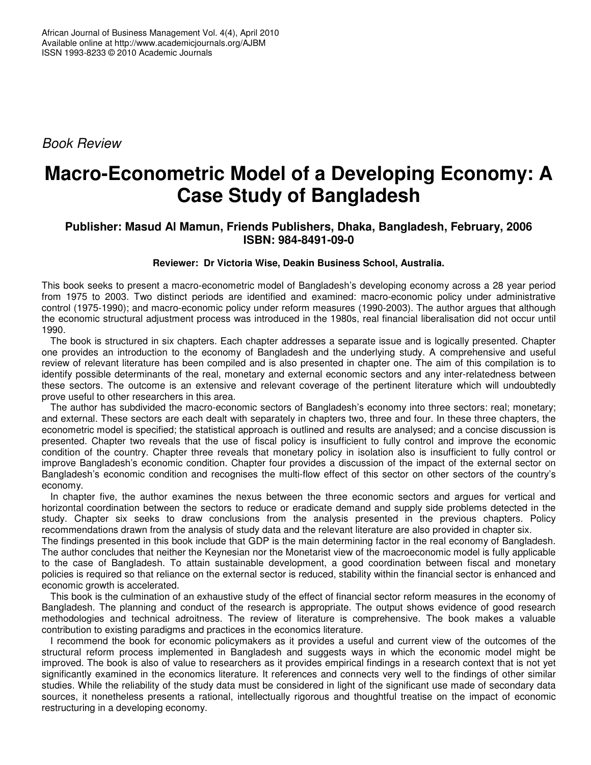*Book Review*

## **Macro-Econometric Model of a Developing Economy: A Case Study of Bangladesh**

### **Publisher: Masud Al Mamun, Friends Publishers, Dhaka, Bangladesh, February, 2006 ISBN: 984-8491-09-0**

#### **Reviewer: Dr Victoria Wise, Deakin Business School, Australia.**

This book seeks to present a macro-econometric model of Bangladesh's developing economy across a 28 year period from 1975 to 2003. Two distinct periods are identified and examined: macro-economic policy under administrative control (1975-1990); and macro-economic policy under reform measures (1990-2003). The author argues that although the economic structural adjustment process was introduced in the 1980s, real financial liberalisation did not occur until 1990.

The book is structured in six chapters. Each chapter addresses a separate issue and is logically presented. Chapter one provides an introduction to the economy of Bangladesh and the underlying study. A comprehensive and useful review of relevant literature has been compiled and is also presented in chapter one. The aim of this compilation is to identify possible determinants of the real, monetary and external economic sectors and any inter-relatedness between these sectors. The outcome is an extensive and relevant coverage of the pertinent literature which will undoubtedly prove useful to other researchers in this area.

The author has subdivided the macro-economic sectors of Bangladesh's economy into three sectors: real; monetary; and external. These sectors are each dealt with separately in chapters two, three and four. In these three chapters, the econometric model is specified; the statistical approach is outlined and results are analysed; and a concise discussion is presented. Chapter two reveals that the use of fiscal policy is insufficient to fully control and improve the economic condition of the country. Chapter three reveals that monetary policy in isolation also is insufficient to fully control or improve Bangladesh's economic condition. Chapter four provides a discussion of the impact of the external sector on Bangladesh's economic condition and recognises the multi-flow effect of this sector on other sectors of the country's economy.

In chapter five, the author examines the nexus between the three economic sectors and argues for vertical and horizontal coordination between the sectors to reduce or eradicate demand and supply side problems detected in the study. Chapter six seeks to draw conclusions from the analysis presented in the previous chapters. Policy recommendations drawn from the analysis of study data and the relevant literature are also provided in chapter six.

The findings presented in this book include that GDP is the main determining factor in the real economy of Bangladesh. The author concludes that neither the Keynesian nor the Monetarist view of the macroeconomic model is fully applicable to the case of Bangladesh. To attain sustainable development, a good coordination between fiscal and monetary policies is required so that reliance on the external sector is reduced, stability within the financial sector is enhanced and economic growth is accelerated.

This book is the culmination of an exhaustive study of the effect of financial sector reform measures in the economy of Bangladesh. The planning and conduct of the research is appropriate. The output shows evidence of good research methodologies and technical adroitness. The review of literature is comprehensive. The book makes a valuable contribution to existing paradigms and practices in the economics literature.

I recommend the book for economic policymakers as it provides a useful and current view of the outcomes of the structural reform process implemented in Bangladesh and suggests ways in which the economic model might be improved. The book is also of value to researchers as it provides empirical findings in a research context that is not yet significantly examined in the economics literature. It references and connects very well to the findings of other similar studies. While the reliability of the study data must be considered in light of the significant use made of secondary data sources, it nonetheless presents a rational, intellectually rigorous and thoughtful treatise on the impact of economic restructuring in a developing economy.